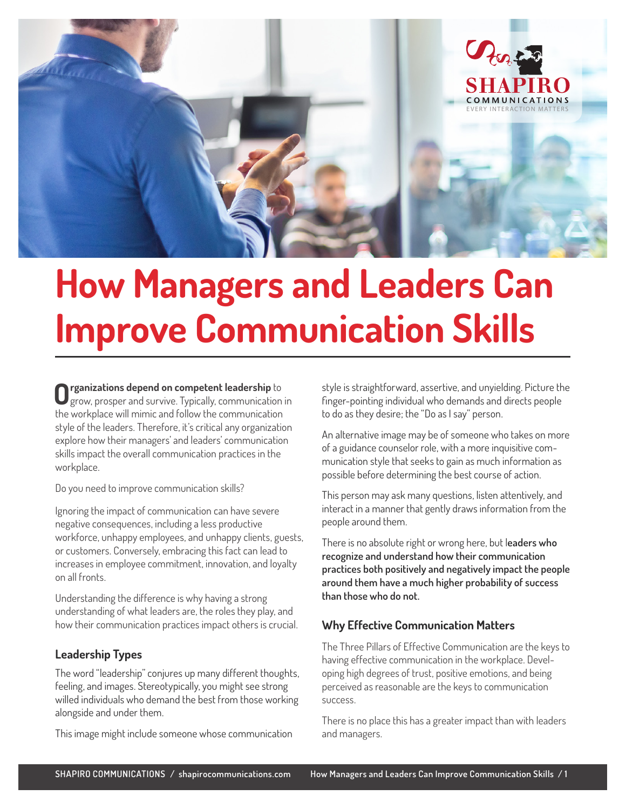

# **How Managers and Leaders Can Improve Communication Skills**

**Organizations depend on competent leadership** to grow, prosper and survive. Typically, communication in the workplace will mimic and follow the communication style of the leaders. Therefore, it's critical any organization explore how their managers' and leaders' communication skills impact the overall communication practices in the workplace.

Do you need to improve communication skills?

Ignoring the impact of communication can have severe negative consequences, including a less productive workforce, unhappy employees, and unhappy clients, guests, or customers. Conversely, embracing this fact can lead to increases in employee commitment, innovation, and loyalty on all fronts.

Understanding the difference is why having a strong understanding of what leaders are, the roles they play, and how their communication practices impact others is crucial.

# **Leadership Types**

The word "leadership" conjures up many different thoughts, feeling, and images. Stereotypically, you might see strong willed individuals who demand the best from those working alongside and under them.

This image might include someone whose communication

style is straightforward, assertive, and unyielding. Picture the finger-pointing individual who demands and directs people to do as they desire; the "Do as I say" person.

An alternative image may be of someone who takes on more of a guidance counselor role, with a more inquisitive communication style that seeks to gain as much information as possible before determining the best course of action.

This person may ask many questions, listen attentively, and interact in a manner that gently draws information from the people around them.

There is no absolute right or wrong here, but l**eaders who recognize and understand how their communication practices both positively and negatively impact the people around them have a much higher probability of success than those who do not.**

# **Why Effective Communication Matters**

The Three Pillars of Effective Communication are the keys to having effective communication in the workplace. Developing high degrees of trust, positive emotions, and being perceived as reasonable are the keys to communication success.

There is no place this has a greater impact than with leaders and managers.